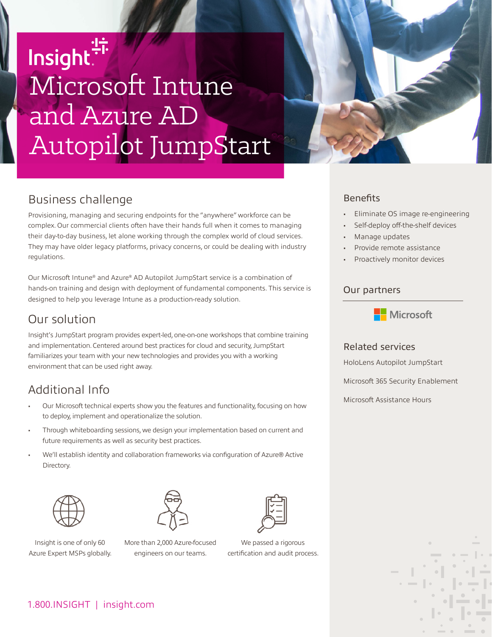# Insight<sup>!"</sup><br>Microsoft Intune and Azure AD Autopilot JumpStart



# Business challenge

Provisioning, managing and securing endpoints for the "anywhere" workforce can be complex. Our commercial clients often have their hands full when it comes to managing their day-to-day business, let alone working through the complex world of cloud services. They may have older legacy platforms, privacy concerns, or could be dealing with industry regulations.

Our Microsoft Intune® and Azure® AD Autopilot JumpStart service is a combination of hands-on training and design with deployment of fundamental components. This service is designed to help you leverage Intune as a production-ready solution.

## Our solution

Insight's JumpStart program provides expert-led, one-on-one workshops that combine training and implementation. Centered around best practices for cloud and security, JumpStart familiarizes your team with your new technologies and provides you with a working environment that can be used right away.

# Additional Info

- Our Microsoft technical experts show you the features and functionality, focusing on how to deploy, implement and operationalize the solution.
- Through whiteboarding sessions, we design your implementation based on current and future requirements as well as security best practices.
- We'll establish identity and collaboration frameworks via configuration of Azure® Active Directory.





Insight is one of only 60 Azure Expert MSPs globally.

More than 2,000 Azure-focused engineers on our teams.



certification and audit process.

### **Benefits**

- Eliminate OS image re-engineering
- Self-deploy off-the-shelf devices
- Manage updates
- Provide remote assistance
- Proactively monitor devices

#### Our partners



#### Related services

HoloLens Autopilot JumpStart

Microsoft 365 Security Enablement

Microsoft Assistance Hours